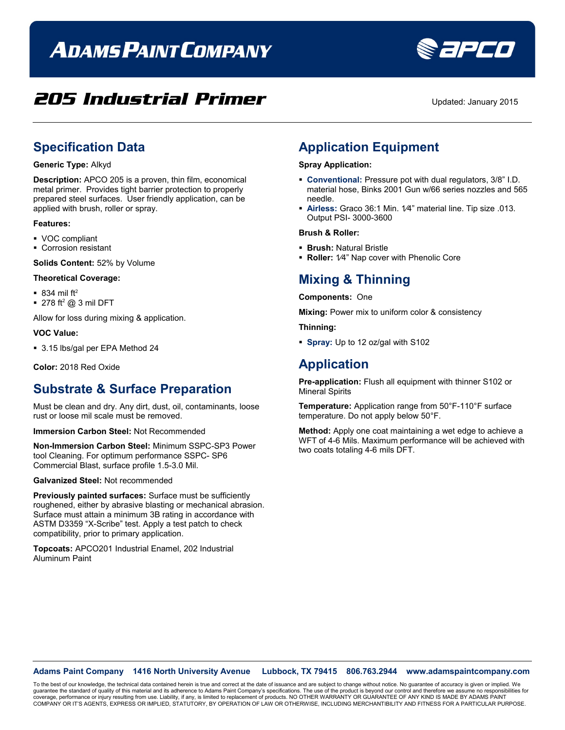# **ADAMS PAINT COMPANY**

## **205 Industrial Primer** Updated: January 2015

Sapeo

## **Specification Data**

#### **Generic Type:** Alkyd

**Description:** APCO 205 is a proven, thin film, economical metal primer. Provides tight barrier protection to properly prepared steel surfaces. User friendly application, can be applied with brush, roller or spray.

#### **Features:**

- VOC compliant
- **Corrosion resistant**

**Solids Content:** 52% by Volume

#### **Theoretical Coverage:**

- $\blacksquare$  834 mil ft<sup>2</sup>
- $\blacksquare$  278 ft<sup>2</sup> @ 3 mil DFT

Allow for loss during mixing & application.

#### **VOC Value:**

3.15 lbs/gal per EPA Method 24

**Color:** 2018 Red Oxide

### **Substrate & Surface Preparation**

Must be clean and dry. Any dirt, dust, oil, contaminants, loose rust or loose mil scale must be removed.

**Immersion Carbon Steel:** Not Recommended

**Non-Immersion Carbon Steel:** Minimum SSPC-SP3 Power tool Cleaning. For optimum performance SSPC- SP6 Commercial Blast, surface profile 1.5-3.0 Mil.

#### **Galvanized Steel:** Not recommended

**Previously painted surfaces:** Surface must be sufficiently roughened, either by abrasive blasting or mechanical abrasion. Surface must attain a minimum 3B rating in accordance with ASTM D3359 "X-Scribe" test. Apply a test patch to check compatibility, prior to primary application.

**Topcoats:** APCO201 Industrial Enamel, 202 Industrial Aluminum Paint

## **Application Equipment**

#### **Spray Application:**

- **Conventional:** Pressure pot with dual regulators, 3/8" I.D. material hose, Binks 2001 Gun w/66 series nozzles and 565 needle.
- **Airless:** Graco 36:1 Min. 1⁄4" material line. Tip size .013. Output PSI- 3000-3600

#### **Brush & Roller:**

- **Brush:** Natural Bristle
- **Roller:** 1⁄4" Nap cover with Phenolic Core

## **Mixing & Thinning**

**Components:** One

**Mixing:** Power mix to uniform color & consistency

**Thinning:**

**Spray:** Up to 12 oz/gal with S102

### **Application**

**Pre-application:** Flush all equipment with thinner S102 or Mineral Spirits

**Temperature:** Application range from 50°F-110°F surface temperature. Do not apply below 50°F.

**Method:** Apply one coat maintaining a wet edge to achieve a WFT of 4-6 Mils. Maximum performance will be achieved with two coats totaling 4-6 mils DFT.

**Adams Paint Company 1416 North University Avenue Lubbock, TX 79415 806.763.2944 www.adamspaintcompany.com**

To the best of our knowledge, the technical data contained herein is true and correct at the date of issuance and are subject to change without notice. No guarantee of accuracy is given or implied. We<br>quarantee the standar guarantee the standard of quality of this material and its adherence to Adams Paint Company's specifications. The use of the product is beyond our control and therefore we as coverage, performance or injury resulting from use. Liability, if any, is limited to replacement of products. NO OTHER WARRANTY OR GUARANTEE OF ANY KIND IS MADE BY ADAMS PAINT<br>COMPANY OR IT'S AGENTS, EXPRESS OR IMPLIED, ST